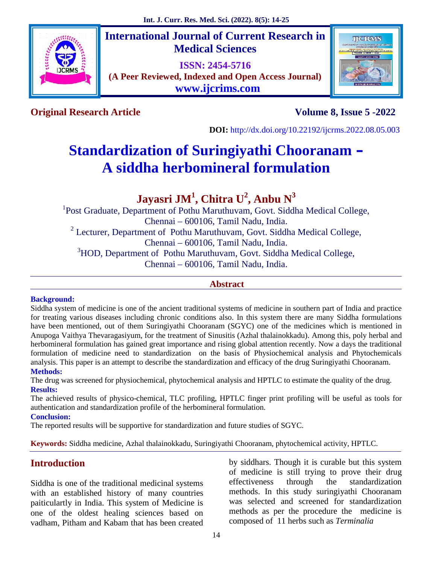

# **International Journal of Current Research in Medical Sciences**

**ISSN: 2454-5716 (A Peer Reviewed, Indexed and Open Access Journal) www.ijcrims.com**



**Original Research Article Volume 8, Issue 5 -2022**

**DOI:** http://dx.doi.org/10.22192/ijcrms.2022.08.05.003

# **Standardization of Suringiyathi Chooranam – A siddha herbomineral formulation**

# **Jayasri JM<sup>1</sup> , Chitra U<sup>2</sup> , Anbu N<sup>3</sup>**

<sup>1</sup>Post Graduate, Department of Pothu Maruthuvam, Govt. Siddha Medical College, Chennai – 600106, Tamil Nadu, India.  $2$  Lecturer, Department of Pothu Maruthuvam, Govt. Siddha Medical College, Chennai – 600106, Tamil Nadu, India. <sup>3</sup>HOD, Department of Pothu Maruthuvam, Govt. Siddha Medical College, Chennai – 600106, Tamil Nadu, India.

# **Abstract**

#### **Background:**

Siddha system of medicine is one of the ancient traditional systems of medicine in southern part of India and practice for treating various diseases including chronic conditions also. In this system there are many Siddha formulations have been mentioned, out of them Suringiyathi Chooranam (SGYC) one of the medicines which is mentioned in Anupoga Vaithya Thevaragasiyum, for the treatment of Sinusitis (Azhal thalainokkadu). Among this, poly herbal and herbomineral formulation has gained great importance and rising global attention recently. Now a days the traditional formulation of medicine need to standardization on the basis of Physiochemical analysis and Phytochemicals analysis. This paper is an attempt to describe the standardization and efficacy of the drug Suringiyathi Chooranam. **Methods:**

The drug was screened for physiochemical, phytochemical analysis and HPTLC to estimate the quality of the drug. **Results:**

The achieved results of physico-chemical, TLC profiling, HPTLC finger print profiling will be useful as tools for authentication and standardization profile of the herbomineral formulation.

#### **Conclusion:**

The reported results will be supportive for standardization and future studies of SGYC.

**Keywords:** Siddha medicine, Azhal thalainokkadu, Suringiyathi Chooranam, phytochemical activity, HPTLC.

# **Introduction**

Siddha is one of the traditional medicinal systems with an established history of many countries paiticulartly in India. This system of Medicine is one of the oldest healing sciences based on vadham, Pitham and Kabam that has been created by siddhars. Though it is curable but this system of medicine is still trying to prove their drug effectiveness through the standardization methods. In this study suringiyathi Chooranam was selected and screened for standardization methods as per the procedure the medicine is composed of 11 herbs such as *Terminalia*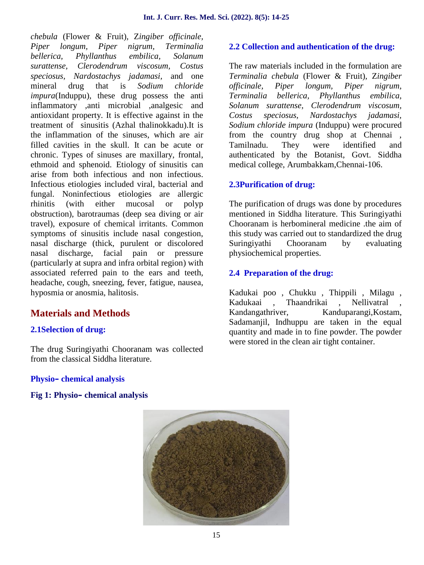*chebula* (Flower & Fruit)*,* Z*ingiber officinale, Piper longum, Piper nigrum, Terminalia bellerica, Phyllanthus embilica, Solanum surattense, Clerodendrum viscosum, Costus speciosus, Nardostachys jadamasi,* and one mineral drug that is *Sodium chloride impura*(Induppu), these drug possess the anti inflammatory ,anti microbial ,analgesic and antioxidant property. It is effective against in the treatment of sinusitis (Azhal thalinokkadu).It is the inflammation of the sinuses, which are air filled cavities in the skull. It can be acute or chronic. Types of sinuses are maxillary, frontal, ethmoid and sphenoid. Etiology of sinusitis can arise from both infectious and non infectious. Infectious etiologies included viral, bacterial and fungal. Noninfectious etiologies are allergic rhinitis (with either mucosal or polyp obstruction), barotraumas (deep sea diving or air travel), exposure of chemical irritants. Common symptoms of sinusitis include nasal congestion, nasal discharge (thick, purulent or discolored nasal discharge, facial pain or pressure (particularly at supra and infra orbital region) with associated referred pain to the ears and teeth, headache, cough, sneezing, fever, fatigue, nausea, hyposmia or anosmia, halitosis.

# **Materials and Methods**

# **2.1Selection of drug:**

The drug Suringiyathi Chooranam was collected from the classical Siddha literature.

### **2.2 Collection and authentication of the drug:**

The raw materials included in the formulation are *Terminalia chebula* (Flower & Fruit)*,* Z*ingiber officinale, Piper longum, Piper nigrum, Terminalia bellerica, Phyllanthus embilica, Solanum surattense, Clerodendrum viscosum, Costus speciosus, Nardostachys jadamasi, Sodium chloride impura* (Induppu) were procured from the country drug shop at Chennai , Tamilnadu. They were identified and authenticated by the Botanist, Govt. Siddha medical college, Arumbakkam,Chennai-106.

# **2.3Purification of drug:**

The purification of drugs was done by procedures mentioned in Siddha literature. This Suringiyathi Chooranam is herbomineral medicine .the aim of this study was carried out to standardized the drug Suringiyathi Chooranam by evaluating physiochemical properties.

# **2.4 Preparation of the drug:**

Kadukai poo , Chukku , Thippili , Milagu , Kadukaai , Thaandrikai , Nellivatral , Kandangathriver, Kanduparangi, Kostam, Sadamanjil, Indhuppu are taken in the equal quantity and made in to fine powder. The powder were stored in the clean air tight container.

#### **Physio– chemical analysis**

#### **Fig 1: Physio– chemical analysis**

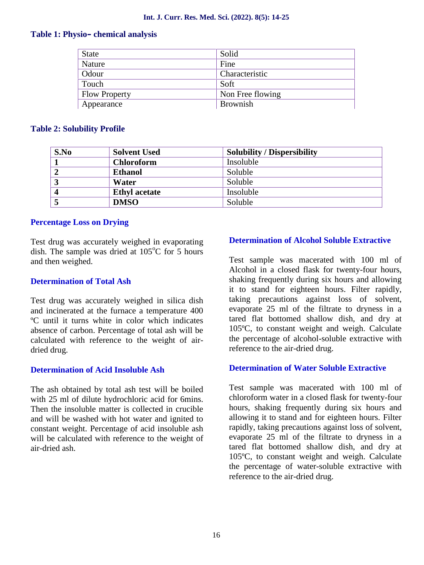#### **Table 1: Physio– chemical analysis**

| <b>State</b>         | Solid            |
|----------------------|------------------|
| Nature               | Fine             |
| Odour                | Characteristic   |
| Touch                | Soft             |
| <b>Flow Property</b> | Non Free flowing |
| Appearance           | <b>Brownish</b>  |

#### **Table 2: Solubility Profile**

| S.No | <b>Solvent Used</b>  | <b>Solubility / Dispersibility</b> |
|------|----------------------|------------------------------------|
|      | <b>Chloroform</b>    | Insoluble                          |
|      | <b>Ethanol</b>       | Soluble                            |
| 3    | Water                | Soluble                            |
|      | <b>Ethyl</b> acetate | Insoluble                          |
|      | <b>DMSO</b>          | Soluble                            |

#### **Percentage Loss on Drying**

Test drug was accurately weighed in evaporating dish. The sample was dried at  $105^{\circ}$ C for 5 hours and then weighed.

#### **Determination of Total Ash**

Test drug was accurately weighed in silica dish and incinerated at the furnace a temperature 400 ºC until it turns white in color which indicates absence of carbon. Percentage of total ash will be calculated with reference to the weight of air dried drug.

#### **Determination of Acid Insoluble Ash**

The ash obtained by total ash test will be boiled with 25 ml of dilute hydrochloric acid for 6mins. Then the insoluble matter is collected in crucible and will be washed with hot water and ignited to constant weight. Percentage of acid insoluble ash will be calculated with reference to the weight of air-dried ash.

#### **Determination of Alcohol Soluble Extractive**

Test sample was macerated with 100 ml of Alcohol in a closed flask for twenty-four hours, shaking frequently during six hours and allowing it to stand for eighteen hours. Filter rapidly, taking precautions against loss of solvent, evaporate 25 ml of the filtrate to dryness in a tared flat bottomed shallow dish, and dry at 105ºC, to constant weight and weigh. Calculate the percentage of alcohol-soluble extractive with reference to the air-dried drug.

#### **Determination of Water Soluble Extractive**

Test sample was macerated with 100 ml of chloroform water in a closed flask for twenty-four hours, shaking frequently during six hours and allowing it to stand and for eighteen hours. Filter rapidly, taking precautions against loss of solvent, evaporate 25 ml of the filtrate to dryness in a tared flat bottomed shallow dish, and dry at 105ºC, to constant weight and weigh. Calculate the percentage of water-soluble extractive with reference to the air-dried drug.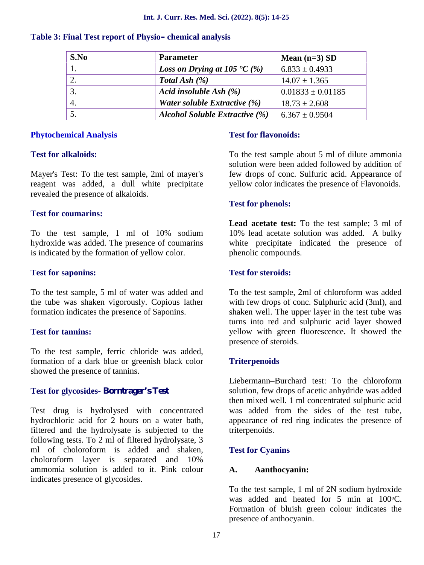| S.No | <b>Parameter</b>                              | Mean $(n=3)$ SD       |
|------|-----------------------------------------------|-----------------------|
|      | <i>Loss on Drying at 105</i> $\mathcal{C}(%)$ | $6.833 \pm 0.4933$    |
|      | Total Ash $(\%)$                              | $14.07 \pm 1.365$     |
|      | Acid insoluble Ash (%)                        | $0.01833 \pm 0.01185$ |
|      | Water soluble Extractive $(\%)$               | $18.73 \pm 2.608$     |
|      | <b>Alcohol Soluble Extractive (%)</b>         | $6.367 \pm 0.9504$    |

#### **Table 3: Final Test report of Physio– chemical analysis**

#### **Phytochemical Analysis**

#### **Test for alkaloids:**

Mayer's Test: To the test sample, 2ml of mayer's reagent was added, a dull white precipitate revealed the presence of alkaloids.

#### **Test for coumarins:**

To the test sample, 1 ml of 10% sodium hydroxide was added. The presence of coumarins is indicated by the formation of yellow color.

#### **Test for saponins:**

To the test sample, 5 ml of water was added and the tube was shaken vigorously. Copious lather formation indicates the presence of Saponins.

#### **Test for tannins:**

To the test sample, ferric chloride was added, formation of a dark blue or greenish black color showed the presence of tannins.

#### **Test for glycosides- Borntrager's Test**

Test drug is hydrolysed with concentrated hydrochloric acid for 2 hours on a water bath, filtered and the hydrolysate is subjected to the following tests. To 2 ml of filtered hydrolysate, 3 ml of choloroform is added and shaken, choloroform layer is separated and 10% ammomia solution is added to it. Pink colour indicates presence of glycosides.

#### **Test for flavonoids:**

To the test sample about 5 ml of dilute ammonia solution were been added followed by addition of few drops of conc. Sulfuric acid. Appearance of yellow color indicates the presence of Flavonoids.

#### **Test for phenols:**

**Lead acetate test:** To the test sample; 3 ml of 10% lead acetate solution was added. A bulky white precipitate indicated the presence of phenolic compounds.

#### **Test for steroids:**

To the test sample, 2ml of chloroform was added with few drops of conc. Sulphuric acid (3ml), and shaken well. The upper layer in the test tube was turns into red and sulphuric acid layer showed yellow with green fluorescence. It showed the presence of steroids.

#### **Triterpenoids**

Liebermann–Burchard test: To the chloroform solution, few drops of acetic anhydride was added then mixed well. 1 ml concentrated sulphuric acid was added from the sides of the test tube, appearance of red ring indicates the presence of triterpenoids.

#### **Test for Cyanins**

#### **A. Aanthocyanin:**

To the test sample, 1 ml of 2N sodium hydroxide was added and heated for 5 min at  $100^{\circ}$ C. Formation of bluish green colour indicates the presence of anthocyanin.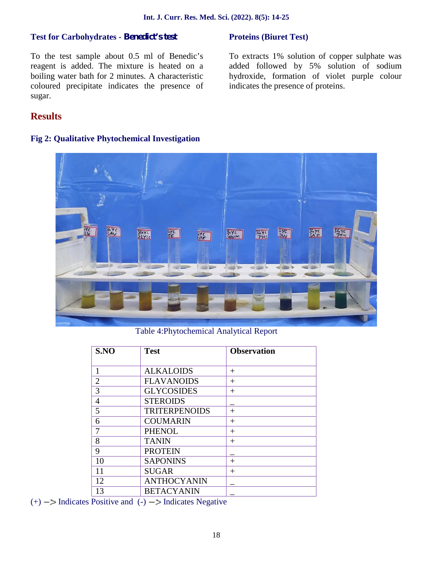#### **Test for Carbohydrates - Benedict's test**

#### **Proteins (Biuret Test)**

To the test sample about 0.5 ml of Benedic's reagent is added. The mixture is heated on a boiling water bath for 2 minutes. A characteristic coloured precipitate indicates the presence of sugar.

To extracts 1% solution of copper sulphate was added followed by 5% solution of sodium hydroxide, formation of violet purple colour indicates the presence of proteins.

# **Results**

#### **Fig 2: Qualitative Phytochemical Investigation**



Table 4:Phytochemical Analytical Report

| <b>Test</b>          | <b>Observation</b> |
|----------------------|--------------------|
|                      |                    |
| <b>ALKALOIDS</b>     | $\pm$              |
| <b>FLAVANOIDS</b>    | $^{+}$             |
| <b>GLYCOSIDES</b>    | $^{+}$             |
| <b>STEROIDS</b>      |                    |
| <b>TRITERPENOIDS</b> | $^{+}$             |
| <b>COUMARIN</b>      | $\pm$              |
| <b>PHENOL</b>        | $\pm$              |
| <b>TANIN</b>         | $\pm$              |
| <b>PROTEIN</b>       |                    |
| <b>SAPONINS</b>      | $^{+}$             |
| <b>SUGAR</b>         | $\pm$              |
| <b>ANTHOCYANIN</b>   |                    |
| <b>BETACYANIN</b>    |                    |
|                      |                    |

 $(+)$   $-$  Indicates Positive and  $(-)$   $-$  Indicates Negative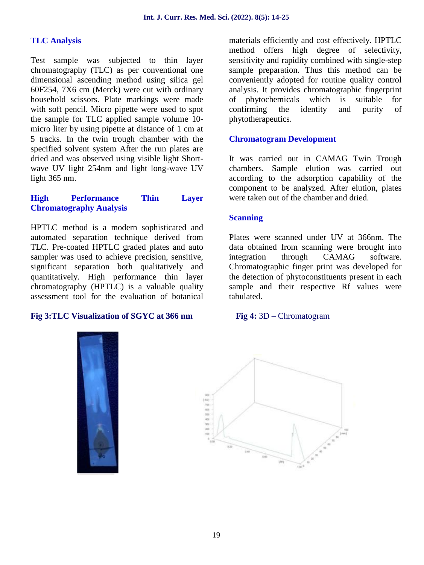#### **TLC Analysis**

Test sample was subjected to thin layer chromatography (TLC) as per conventional one dimensional ascending method using silica gel 60F254, 7X6 cm (Merck) were cut with ordinary household scissors. Plate markings were made with soft pencil. Micro pipette were used to spot the sample for TLC applied sample volume 10 micro liter by using pipette at distance of 1 cm at 5 tracks. In the twin trough chamber with the specified solvent system After the run plates are dried and was observed using visible light Short wave UV light 254nm and light long-wave UV light 365 nm.

#### **High Performance Thin Layer Chromatography Analysis**

HPTLC method is a modern sophisticated and automated separation technique derived from TLC. Pre-coated HPTLC graded plates and auto sampler was used to achieve precision, sensitive, significant separation both qualitatively and quantitatively. High performance thin layer chromatography (HPTLC) is a valuable quality assessment tool for the evaluation of botanical

#### **Fig 3:TLC Visualization of SGYC at 366 nm Fig 4:** 3D – Chromatogram

materials efficiently and cost effectively. HPTLC method offers high degree of selectivity, sensitivity and rapidity combined with single-step sample preparation. Thus this method can be conveniently adopted for routine quality control analysis. It provides chromatographic fingerprint of phytochemicals which is suitable for confirming the identity and purity of phytotherapeutics.

#### **Chromatogram Development**

It was carried out in CAMAG Twin Trough chambers. Sample elution was carried out according to the adsorption capability of the component to be analyzed. After elution, plates were taken out of the chamber and dried.

#### **Scanning**

Plates were scanned under UV at 366nm. The data obtained from scanning were brought into integration through CAMAG software. Chromatographic finger print was developed for the detection of phytoconstituents present in each sample and their respective Rf values were tabulated.



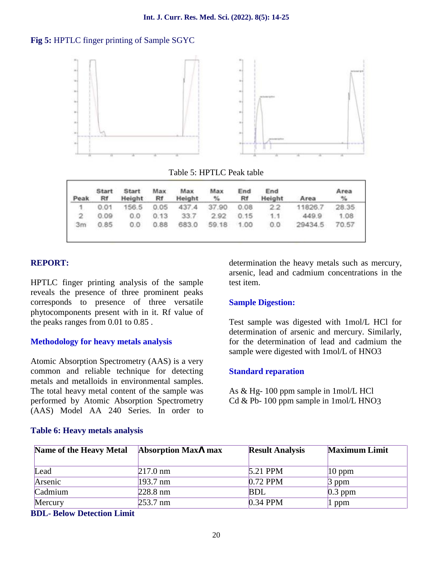#### **Fig 5:** HPTLC finger printing of Sample SGYC



#### Table 5: HPTLC Peak table

| Peak           | Start<br>Rf | Start<br>Height | Max<br>Rf | Max<br>Height | Max<br>$\%$ | End<br>Rf | End<br>Height | Area    | Area<br>$\frac{9}{6}$ |
|----------------|-------------|-----------------|-----------|---------------|-------------|-----------|---------------|---------|-----------------------|
| $\mathfrak{q}$ | 0.01        | 156.5           | 0.05      | 437.4         | 37.90       | 0.08      | 2.2           | 11826.7 | 28.35                 |
| $\overline{2}$ | 0.09        | 0.0             | 0.13      | 33.7          | 2.92        | 0.15      | 1.1           | 449.9   | 1.08                  |
| 3m             | 0.85        | 0.0             | 0.88      | 683.0         | 59.18       | 1.00      | 0.0           | 29434.5 | 70.57                 |

#### **REPORT:**

HPTLC finger printing analysis of the sample reveals the presence of three prominent peaks corresponds to presence of three versatile phytocomponents present with in it. Rf value of the peaks ranges from 0.01 to 0.85 .

#### **Methodology for heavy metals analysis**

Atomic Absorption Spectrometry (AAS) is a very common and reliable technique for detecting metals and metalloids in environmental samples. The total heavy metal content of the sample was performed by Atomic Absorption Spectrometry (AAS) Model AA 240 Series. In order to

determination the heavy metals such as mercury, arsenic, lead and cadmium concentrations in the test item.

#### **Sample Digestion:**

Test sample was digested with 1mol/L HCl for determination of arsenic and mercury. Similarly, for the determination of lead and cadmium the sample were digested with 1mol/L of HNO3

#### **Standard reparation**

As & Hg- 100 ppm sample in 1mol/L HCl  $Cd & Pb-100$  ppm sample in  $1 \text{mol/L HNO3}$ 

| Name of the Heavy Metal | Absorption Max max | <b>Result Analysis</b> | <b>Maximum Limit</b> |
|-------------------------|--------------------|------------------------|----------------------|
| Lead                    | 217.0 nm           | 5.21 PPM               | $ 10$ ppm            |
| Arsenic                 | 193.7 nm           | $0.72$ PPM             | $\beta$ ppm          |
| Cadmium                 | 228.8 nm           | <b>BDL</b>             | $0.3$ ppm            |
| Mercury                 | 253.7 nm           | 0.34 PPM               | 1 ppm                |

#### **Table 6: Heavy metals analysis**

#### **BDL- Below Detection Limit**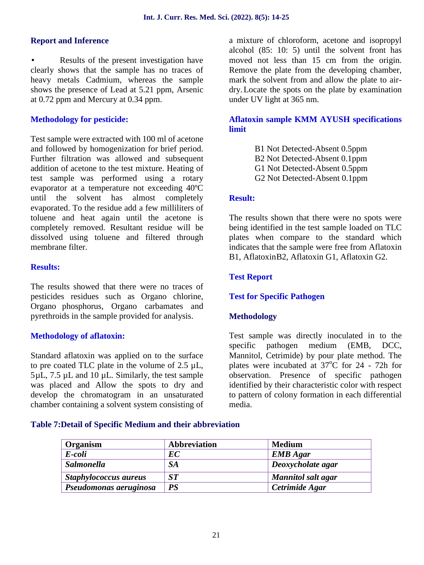#### **Report and Inference**

 Results of the present investigation have clearly shows that the sample has no traces of heavy metals Cadmium, whereas the sample shows the presence of Lead at 5.21 ppm, Arsenic at 0.72 ppm and Mercury at 0.34 ppm.

#### **Methodology for pesticide:**

Test sample were extracted with 100 ml of acetone and followed by homogenization for brief period. Further filtration was allowed and subsequent addition of acetone to the test mixture. Heating of test sample was performed using a rotary evaporator at a temperature not exceeding 40ºC until the solvent has almost completely evaporated. To the residue add a few milliliters of toluene and heat again until the acetone is completely removed. Resultant residue will be dissolved using toluene and filtered through membrane filter.

#### **Results:**

The results showed that there were no traces of pesticides residues such as Organo chlorine, Organo phosphorus, Organo carbamates and pyrethroids in the sample provided for analysis.

#### **Methodology of aflatoxin:**

Standard aflatoxin was applied on to the surface to pre coated TLC plate in the volume of 2.5 µL,  $5\mu$ L,  $7.5\mu$ L and 10  $\mu$ L. Similarly, the test sample was placed and Allow the spots to dry and develop the chromatogram in an unsaturated chamber containing a solvent system consisting of a mixture of chloroform, acetone and isopropyl alcohol (85: 10: 5) until the solvent front has moved not less than 15 cm from the origin. Remove the plate from the developing chamber, mark the solvent from and allow the plate to air dry.Locate the spots on the plate by examination under UV light at 365 nm.

#### **Aflatoxin sample KMM AYUSH specifications limit**

B1 Not Detected-Absent 0.5ppm B2 Not Detected-Absent 0.1ppm G1 Not Detected-Absent 0.5ppm G2 Not Detected-Absent 0.1ppm

#### **Result:**

The results shown that there were no spots were being identified in the test sample loaded on TLC plates when compare to the standard which indicates that the sample were free from Aflatoxin B1, AflatoxinB2, Aflatoxin G1, Aflatoxin G2.

#### **Test Report**

#### **Test for Specific Pathogen**

#### **Methodology**

Test sample was directly inoculated in to the specific pathogen medium (EMB, DCC, Mannitol, Cetrimide) by pour plate method. The plates were incubated at  $37^{\circ}$ C for 24 - 72h for observation. Presence of specific pathogen identified by their characteristic color with respect to pattern of colony formation in each differential media.

#### **Table 7:Detail of Specific Medium and their abbreviation**

| Organism               | Abbreviation | <b>Medium</b>      |
|------------------------|--------------|--------------------|
| E-coli                 | EC           | <b>EMB</b> Agar    |
| <b>Salmonella</b>      | <b>SA</b>    | Deoxycholate agar  |
| Staphylococcus aureus  | <b>ST</b>    | Mannitol salt agar |
| Pseudomonas aeruginosa | <b>PS</b>    | Cetrimide Agar     |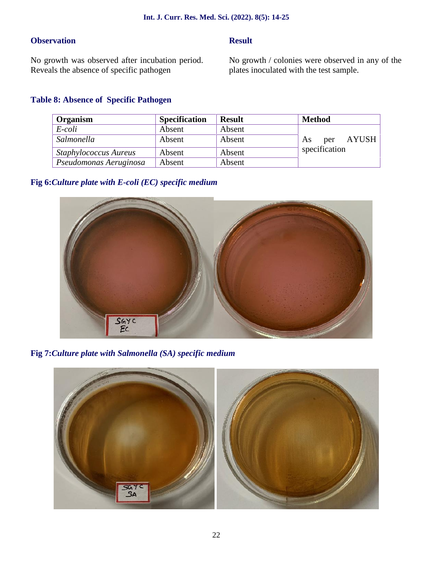### **Observation**

### **Result**

No growth was observed after incubation period. Reveals the absence of specific pathogen

No growth / colonies were observed in any of the plates inoculated with the test sample.

# **Table 8: Absence of Specific Pathogen**

| Organism                     | <b>Specification</b> | <b>Result</b> | <b>Method</b>       |
|------------------------------|----------------------|---------------|---------------------|
| E-coli                       | Absent               | Absent        |                     |
| Salmonella                   | Absent               | Absent        | AYUSH<br>per<br>As. |
| <b>Staphylococcus Aureus</b> | Absent               | Absent        | specification       |
| Pseudomonas Aeruginosa       | Absent               | Absent        |                     |

# **Fig 6:***Culture plate with E-coli (EC) specific medium*



**Fig 7:***Culture plate with Salmonella (SA) specific medium*

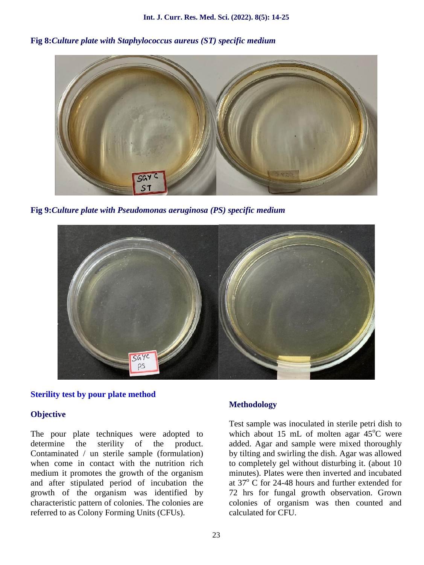**Fig 8:***Culture plate with Staphylococcus aureus (ST) specific medium*



**Fig 9:***Culture plate with Pseudomonas aeruginosa (PS) specific medium*



#### **Sterility test by pour plate method**

#### **Objective**

The pour plate techniques were adopted to determine the sterility of the product. Contaminated / un sterile sample (formulation) when come in contact with the nutrition rich medium it promotes the growth of the organism and after stipulated period of incubation the growth of the organism was identified by characteristic pattern of colonies. The colonies are referred to as Colony Forming Units (CFUs).

#### **Methodology**

Test sample was inoculated in sterile petri dish to which about 15 mL of molten agar  $45^{\circ}$ C were added. Agar and sample were mixed thoroughly by tilting and swirling the dish. Agar was allowed to completely gel without disturbing it. (about 10 minutes). Plates were then inverted and incubated at  $37^{\circ}$  C for 24-48 hours and further extended for 72 hrs for fungal growth observation. Grown colonies of organism was then counted and calculated for CFU.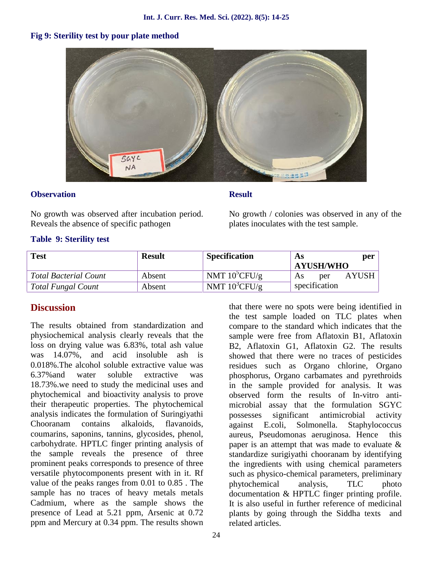# **Fig 9: Sterility test by pour plate method**



#### **Observation**

**Result**

No growth was observed after incubation period. Reveals the absence of specific pathogen

No growth / colonies was observed in any of the plates inoculates with the test sample.

### **Table 9: Sterility test**

| <b>Test</b>                  | <b>Result</b> | <b>Specification</b>   | As<br><b>AYUSH/WHO</b> | per          |
|------------------------------|---------------|------------------------|------------------------|--------------|
| <b>Total Bacterial Count</b> | Absent        | NMT $10^{\circ}$ CFU/g | per<br>As              | <b>AYUSH</b> |
| <b>Total Fungal Count</b>    | Absent        | NMT $10^3$ CFU/g       | specification          |              |

# **Discussion**

The results obtained from standardization and physiochemical analysis clearly reveals that the loss on drying value was 6.83%, total ash value was 14.07%, and acid insoluble ash is 0.018%.The alcohol soluble extractive value was 6.37%and water soluble extractive was 18.73%.we need to study the medicinal uses and phytochemical and bioactivity analysis to prove their therapeutic properties. The phytochemical analysis indicates the formulation of Suringiyathi Chooranam contains alkaloids, flavanoids, coumarins, saponins, tannins, glycosides, phenol, carbohydrate. HPTLC finger printing analysis of the sample reveals the presence of three prominent peaks corresponds to presence of three versatile phytocomponents present with in it. Rf value of the peaks ranges from 0.01 to 0.85 . The sample has no traces of heavy metals metals Cadmium, where as the sample shows the presence of Lead at 5.21 ppm, Arsenic at 0.72 ppm and Mercury at 0.34 ppm. The results shown

that there were no spots were being identified in the test sample loaded on TLC plates when compare to the standard which indicates that the sample were free from Aflatoxin B1, Aflatoxin B2, Aflatoxin G1, Aflatoxin G2. The results showed that there were no traces of pesticides residues such as Organo chlorine, Organo phosphorus, Organo carbamates and pyrethroids in the sample provided for analysis. It was observed form the results of In-vitro anti microbial assay that the formulation SGYC possesses significant antimicrobial activity against E.coli, Solmonella. Staphylococcus aureus, Pseudomonas aeruginosa. Hence this paper is an attempt that was made to evaluate & standardize surigiyathi chooranam by identifying the ingredients with using chemical parameters such as physico-chemical parameters, preliminary phytochemical analysis, TLC photo documentation & HPTLC finger printing profile. It is also useful in further reference of medicinal plants by going through the Siddha texts and related articles.